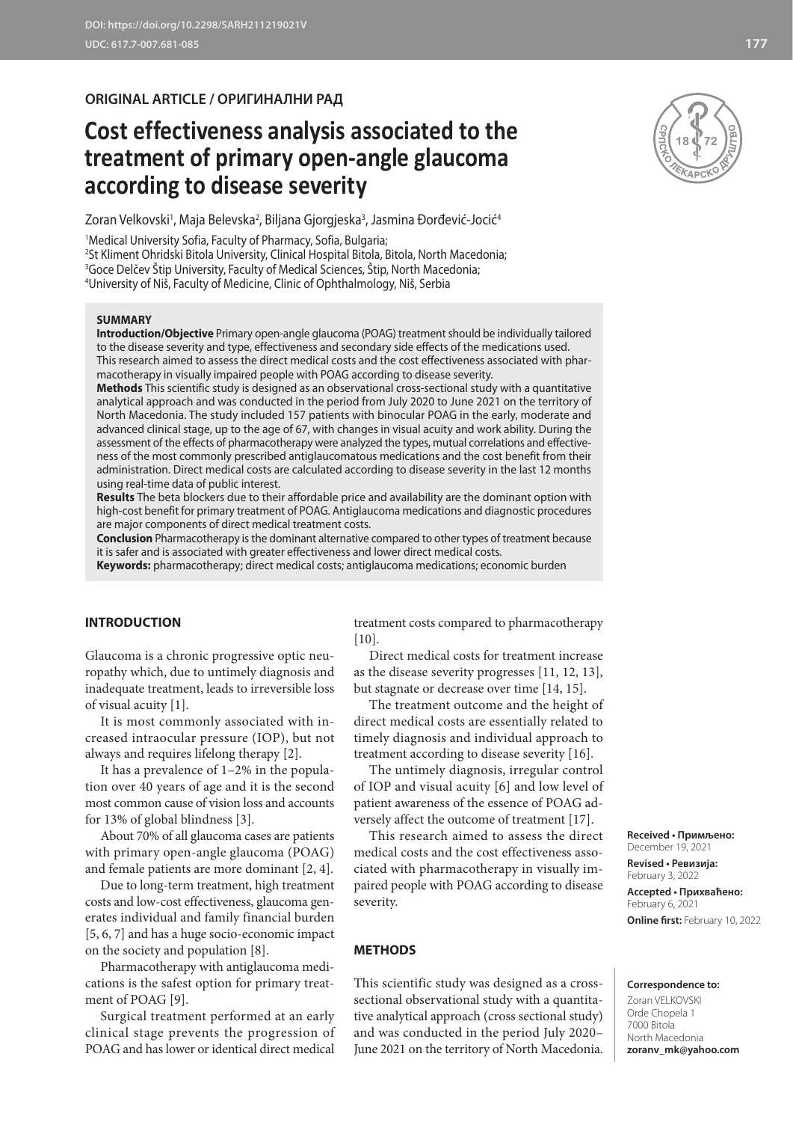# **ORIGINAL ARTICLE / ОРИГИНАЛНИ РАД**

# **Cost effectiveness analysis associated to the treatment of primary open-angle glaucoma according to disease severity**

Zoran Velkovski', Maja Belevska<sup>2</sup>, Biljana Gjorgjeska<sup>3</sup>, Jasmina Đorđević-Jocić<sup>4</sup>

 Medical University Sofia, Faculty of Pharmacy, Sofia, Bulgaria; St Kliment Ohridski Bitola University, Clinical Hospital Bitola, Bitola, North Macedonia; Goce Delčev Štip University, Faculty of Medical Sciences, Štip, North Macedonia; University of Niš, Faculty of Medicine, Clinic of Ophthalmology, Niš, Serbia

## **SUMMARY**

**Introduction/Objective** Primary open-angle glaucoma (POAG) treatment should be individually tailored to the disease severity and type, effectiveness and secondary side effects of the medications used. This research aimed to assess the direct medical costs and the cost effectiveness associated with pharmacotherapy in visually impaired people with POAG according to disease severity.

**Methods** This scientific study is designed as an observational cross-sectional study with a quantitative analytical approach and was conducted in the period from July 2020 to June 2021 on the territory of North Macedonia. The study included 157 patients with binocular POAG in the early, moderate and advanced clinical stage, up to the age of 67, with changes in visual acuity and work ability. During the assessment of the effects of pharmacotherapy were analyzed the types, mutual correlations and effectiveness of the most commonly prescribed antiglaucomatous medications and the cost benefit from their administration. Direct medical costs are calculated according to disease severity in the last 12 months using real-time data of public interest.

**Results** The beta blockers due to their affordable price and availability are the dominant option with high-cost benefit for primary treatment of POAG. Antiglaucoma medications and diagnostic procedures are major components of direct medical treatment costs.

**Conclusion** Pharmacotherapy is the dominant alternative compared to other types of treatment because it is safer and is associated with greater effectiveness and lower direct medical costs.

**Keywords:** pharmacotherapy; direct medical costs; antiglaucoma medications; economic burden

# **INTRODUCTION**

Glaucoma is a chronic progressive optic neuropathy which, due to untimely diagnosis and inadequate treatment, leads to irreversible loss of visual acuity [1].

It is most commonly associated with increased intraocular pressure (IOP), but not always and requires lifelong therapy [2].

It has a prevalence of 1–2% in the population over 40 years of age and it is the second most common cause of vision loss and accounts for 13% of global blindness [3].

About 70% of all glaucoma cases are patients with primary open-angle glaucoma (POAG) and female patients are more dominant [2, 4].

Due to long-term treatment, high treatment costs and low-cost effectiveness, glaucoma generates individual and family financial burden [5, 6, 7] and has a huge socio-economic impact on the society and population [8].

Pharmacotherapy with antiglaucoma medications is the safest option for primary treatment of POAG [9].

Surgical treatment performed at an early clinical stage prevents the progression of POAG and has lower or identical direct medical

treatment costs compared to pharmacotherapy [10].

Direct medical costs for treatment increase as the disease severity progresses [11, 12, 13], but stagnate or decrease over time [14, 15].

The treatment outcome and the height of direct medical costs are essentially related to timely diagnosis and individual approach to treatment according to disease severity [16].

The untimely diagnosis, irregular control of IOP and visual acuity [6] and low level of patient awareness of the essence of POAG adversely affect the outcome of treatment [17].

This research aimed to assess the direct medical costs and the cost effectiveness associated with pharmacotherapy in visually impaired people with POAG according to disease severity.

#### **METHODS**

This scientific study was designed as a crosssectional observational study with a quantitative analytical approach (cross sectional study) and was conducted in the period July 2020– June 2021 on the territory of North Macedonia.

**Received • Примљено:**  December 19, 2021

**Revised • Ревизија:**  February 3, 2022 **Accepted • Прихваћено:** February 6, 2021 **Online first:** February 10, 2022

### **Correspondence to:**

Zoran VELKOVSKI Orde Chopela 1 7000 Bitola North Macedonia **zoranv\_mk@yahoo.com**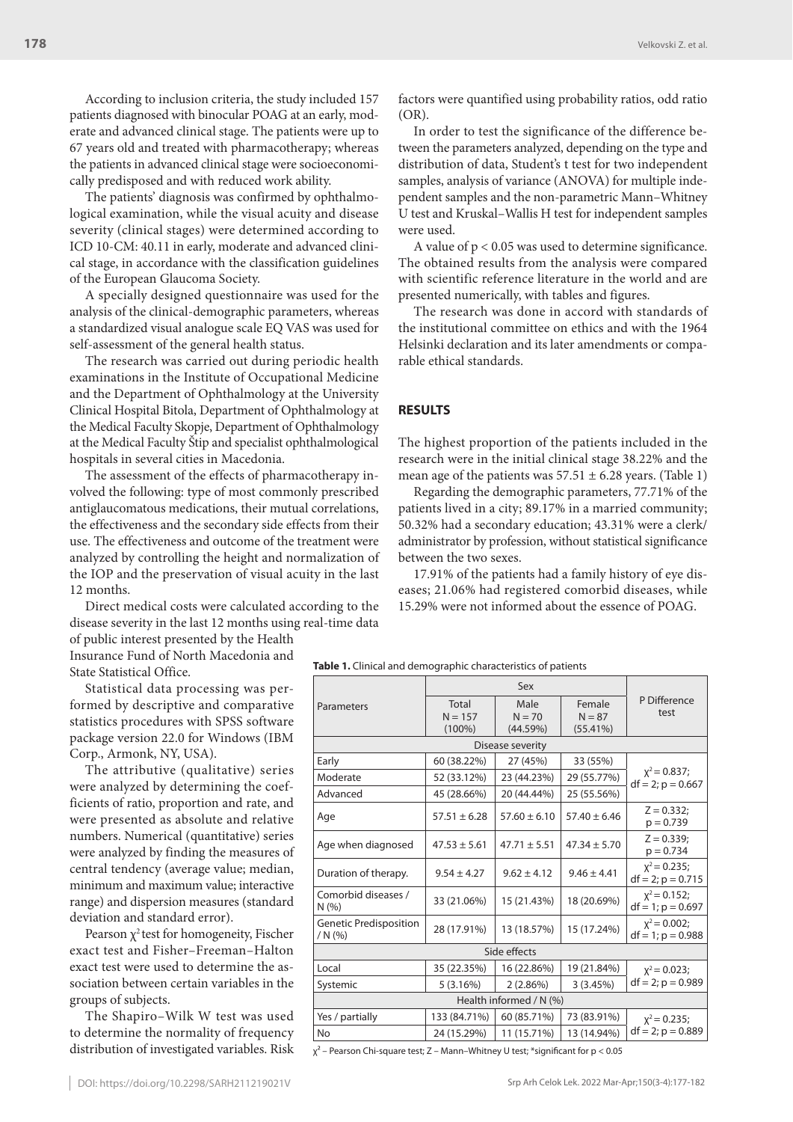According to inclusion criteria, the study included 157 patients diagnosed with binocular POAG at an early, moderate and advanced clinical stage. The patients were up to 67 years old and treated with pharmacotherapy; whereas the patients in advanced clinical stage were socioeconomically predisposed and with reduced work ability.

The patients' diagnosis was confirmed by ophthalmological examination, while the visual acuity and disease severity (clinical stages) were determined according to ICD 10-CM: 40.11 in early, moderate and advanced clinical stage, in accordance with the classification guidelines of the European Glaucoma Society.

A specially designed questionnaire was used for the analysis of the clinical-demographic parameters, whereas a standardized visual analogue scale EQ VAS was used for self-assessment of the general health status.

The research was carried out during periodic health examinations in the Institute of Occupational Medicine and the Department of Ophthalmology at the University Clinical Hospital Bitola, Department of Ophthalmology at the Medical Faculty Skopje, Department of Ophthalmology at the Medical Faculty Štip and specialist ophthalmological hospitals in several cities in Macedonia.

The assessment of the effects of pharmacotherapy involved the following: type of most commonly prescribed antiglaucomatous medications, their mutual correlations, the effectiveness and the secondary side effects from their use. The effectiveness and outcome of the treatment were analyzed by controlling the height and normalization of the IOP and the preservation of visual acuity in the last 12 months.

Direct medical costs were calculated according to the disease severity in the last 12 months using real-time data

of public interest presented by the Health Insurance Fund of North Macedonia and State Statistical Office.

Statistical data processing was performed by descriptive and comparative statistics procedures with SPSS software package version 22.0 for Windows (IBM Corp., Armonk, NY, USA).

The attributive (qualitative) series were analyzed by determining the coefficients of ratio, proportion and rate, and were presented as absolute and relative numbers. Numerical (quantitative) series were analyzed by finding the measures of central tendency (average value; median, minimum and maximum value; interactive range) and dispersion measures (standard deviation and standard error).

Pearson  $\chi^2$  test for homogeneity, Fischer exact test and Fisher–Freeman–Halton exact test were used to determine the association between certain variables in the groups of subjects.

The Shapiro–Wilk W test was used to determine the normality of frequency distribution of investigated variables. Risk factors were quantified using probability ratios, odd ratio (OR).

In order to test the significance of the difference between the parameters analyzed, depending on the type and distribution of data, Student's t test for two independent samples, analysis of variance (ANOVA) for multiple independent samples and the non-parametric Mann–Whitney U test and Kruskal–Wallis H test for independent samples were used.

A value of  $p < 0.05$  was used to determine significance. The obtained results from the analysis were compared with scientific reference literature in the world and are presented numerically, with tables and figures.

The research was done in accord with standards of the institutional committee on ethics and with the 1964 Helsinki declaration and its later amendments or comparable ethical standards.

# **RESULTS**

The highest proportion of the patients included in the research were in the initial clinical stage 38.22% and the mean age of the patients was  $57.51 \pm 6.28$  years. (Table 1)

Regarding the demographic parameters, 77.71% of the patients lived in a city; 89.17% in a married community; 50.32% had a secondary education; 43.31% were a clerk/ administrator by profession, without statistical significance between the two sexes.

17.91% of the patients had a family history of eye diseases; 21.06% had registered comorbid diseases, while 15.29% were not informed about the essence of POAG.

**Table 1.** Clinical and demographic characteristics of patients

| Parameters                       | Total<br>$N = 157$ | Male<br>$N = 70$ | Female<br>$N = 87$ | P Difference<br>test                     |  |  |  |  |  |
|----------------------------------|--------------------|------------------|--------------------|------------------------------------------|--|--|--|--|--|
|                                  | $(100\%)$          | (44.59%)         | (55.41%)           |                                          |  |  |  |  |  |
| Disease severity                 |                    |                  |                    |                                          |  |  |  |  |  |
| Early                            | 60 (38.22%)        | 27 (45%)         | 33 (55%)           | $x^2$ = 0.837;<br>$df = 2$ ; $p = 0.667$ |  |  |  |  |  |
| Moderate                         | 52 (33.12%)        | 23 (44.23%)      | 29 (55.77%)        |                                          |  |  |  |  |  |
| Advanced                         | 45 (28.66%)        | 20 (44.44%)      | 25 (55.56%)        |                                          |  |  |  |  |  |
| Age                              | $57.51 \pm 6.28$   | $57.60 \pm 6.10$ | $57.40 \pm 6.46$   | $Z = 0.332;$<br>$p = 0.739$              |  |  |  |  |  |
| Age when diagnosed               | $47.53 \pm 5.61$   | $47.71 \pm 5.51$ | $47.34 \pm 5.70$   | $Z = 0.339;$<br>$p = 0.734$              |  |  |  |  |  |
| Duration of therapy.             | $9.54 \pm 4.27$    | $9.62 \pm 4.12$  | $9.46 \pm 4.41$    | $x^2$ = 0.235;<br>$df = 2$ ; $p = 0.715$ |  |  |  |  |  |
| Comorbid diseases /<br>N(% )     | 33 (21.06%)        | 15 (21.43%)      | 18 (20.69%)        | $x^2$ = 0.152;<br>$df = 1$ ; $p = 0.697$ |  |  |  |  |  |
| Genetic Predisposition<br>/N(96) | 28 (17.91%)        | 13 (18.57%)      | 15 (17.24%)        | $x^2$ = 0.002;<br>$df = 1$ ; $p = 0.988$ |  |  |  |  |  |
| Side effects                     |                    |                  |                    |                                          |  |  |  |  |  |
| Local                            | 35 (22.35%)        | 16 (22.86%)      | 19 (21.84%)        | $x^2$ = 0.023;                           |  |  |  |  |  |
| Systemic                         | 5(3.16%)           | 2(2.86%)         | 3(3.45%)           | $df = 2$ ; $p = 0.989$                   |  |  |  |  |  |
| Health informed / N (%)          |                    |                  |                    |                                          |  |  |  |  |  |
| Yes / partially                  | 133 (84.71%)       | 60 (85.71%)      | 73 (83.91%)        | $x^2$ = 0.235;                           |  |  |  |  |  |
| No                               | 24 (15.29%)        | 11 (15.71%)      | 13 (14.94%)        | $df = 2$ ; $p = 0.889$                   |  |  |  |  |  |

 $\chi^2$  – Pearson Chi-square test; Z – Mann–Whitney U test; \*significant for p < 0.05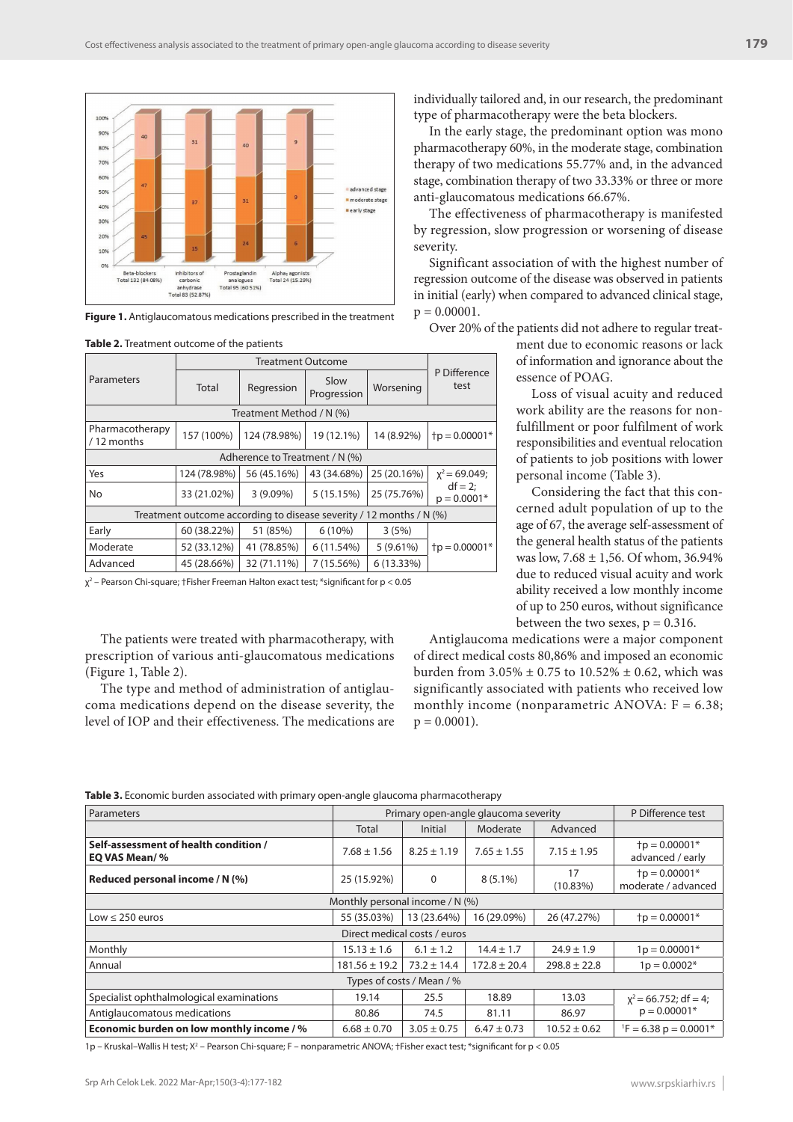

**Figure 1.** Antiglaucomatous medications prescribed in the treatment

|                                                                     | Parameters                    | <b>Total</b> | Regression   | Slow<br>Progression | Worsening   | P Difference<br>test        |  |
|---------------------------------------------------------------------|-------------------------------|--------------|--------------|---------------------|-------------|-----------------------------|--|
| Treatment Method / N (%)                                            |                               |              |              |                     |             |                             |  |
|                                                                     | Pharmacotherapy<br>/12 months | 157 (100%)   | 124 (78.98%) | 19 (12.1%)          | 14 (8.92%)  | $tp = 0.00001*$             |  |
| Adherence to Treatment / N (%)                                      |                               |              |              |                     |             |                             |  |
|                                                                     | Yes                           | 124 (78.98%) | 56 (45.16%)  | 43 (34.68%)         | 25 (20.16%) | $x^2$ = 69.049;             |  |
|                                                                     | <b>No</b>                     | 33 (21.02%)  | $3(9.09\%)$  | 5(15.15%)           | 25 (75.76%) | $df = 2$ ;<br>$p = 0.0001*$ |  |
| Treatment outcome according to disease severity / 12 months / N (%) |                               |              |              |                     |             |                             |  |
|                                                                     | Early                         | 60 (38.22%)  | 51 (85%)     | $6(10\%)$           | 3(5%)       |                             |  |
|                                                                     | Moderate                      | 52 (33.12%)  | 41 (78.85%)  | 6 (11.54%)          | $5(9.61\%)$ | $tp = 0.00001*$             |  |
|                                                                     | Advanced                      | 45 (28.66%)  | 32 (71.11%)  | 7 (15.56%)          | 6 (13.33%)  |                             |  |
|                                                                     |                               |              |              |                     |             |                             |  |

**Table 2.** Treatment outcome of the patients

χ2 – Pearson Chi-square; †Fisher Freeman Halton exact test; \*significant for p < 0.05

The patients were treated with pharmacotherapy, with prescription of various anti-glaucomatous medications (Figure 1, Table 2).

The type and method of administration of antiglaucoma medications depend on the disease severity, the level of IOP and their effectiveness. The medications are individually tailored and, in our research, the predominant type of pharmacotherapy were the beta blockers.

In the early stage, the predominant option was mono pharmacotherapy 60%, in the moderate stage, combination therapy of two medications 55.77% and, in the advanced stage, combination therapy of two 33.33% or three or more anti-glaucomatous medications 66.67%.

The effectiveness of pharmacotherapy is manifested by regression, slow progression or worsening of disease severity.

Significant association of with the highest number of regression outcome of the disease was observed in patients in initial (early) when compared to advanced clinical stage,  $p = 0.00001$ .

Over 20% of the patients did not adhere to regular treat-

ment due to economic reasons or lack of information and ignorance about the essence of POAG.

Loss of visual acuity and reduced work ability are the reasons for nonfulfillment or poor fulfilment of work responsibilities and eventual relocation of patients to job positions with lower personal income (Table 3).

Considering the fact that this concerned adult population of up to the age of 67, the average self-assessment of the general health status of the patients was low, 7.68 ± 1,56. Of whom, 36.94% due to reduced visual acuity and work ability received a low monthly income of up to 250 euros, without significance between the two sexes,  $p = 0.316$ .

Antiglaucoma medications were a major component of direct medical costs 80,86% and imposed an economic burden from  $3.05\% \pm 0.75$  to  $10.52\% \pm 0.62$ , which was significantly associated with patients who received low monthly income (nonparametric ANOVA:  $F = 6.38$ ;  $p = 0.0001$ ).

| Parameters                                             | Primary open-angle glaucoma severity | P Difference test |                  |                   |                                        |  |  |  |
|--------------------------------------------------------|--------------------------------------|-------------------|------------------|-------------------|----------------------------------------|--|--|--|
|                                                        | Total                                | <b>Initial</b>    | Moderate         | Advanced          |                                        |  |  |  |
| Self-assessment of health condition /<br>EO VAS Mean/% | $7.68 \pm 1.56$                      | $8.25 \pm 1.19$   | $7.65 \pm 1.55$  | $7.15 \pm 1.95$   | $tp = 0.00001*$<br>advanced / early    |  |  |  |
| Reduced personal income / N (%)                        | 25 (15.92%)                          | $\Omega$          | $8(5.1\%)$       | 17<br>$(10.83\%)$ | $tp = 0.00001*$<br>moderate / advanced |  |  |  |
| Monthly personal income / $N$ (%)                      |                                      |                   |                  |                   |                                        |  |  |  |
| Low $\leq$ 250 euros                                   | 55 (35.03%)                          | 13 (23.64%)       | 16 (29.09%)      | 26 (47.27%)       | $tp = 0.00001*$                        |  |  |  |
| Direct medical costs / euros                           |                                      |                   |                  |                   |                                        |  |  |  |
| Monthly                                                | $15.13 \pm 1.6$                      | $6.1 \pm 1.2$     | $14.4 \pm 1.7$   | $24.9 \pm 1.9$    | $1p = 0.00001*$                        |  |  |  |
| Annual                                                 | $181.56 \pm 19.2$                    | $73.2 \pm 14.4$   | $172.8 \pm 20.4$ | $298.8 \pm 22.8$  | $1p = 0.0002*$                         |  |  |  |
| Types of costs / Mean / %                              |                                      |                   |                  |                   |                                        |  |  |  |
| Specialist ophthalmological examinations               | 19.14                                | 25.5              | 18.89            | 13.03             | $x^2$ = 66.752; df = 4;                |  |  |  |
| Antiglaucomatous medications                           | 80.86                                | 74.5              | 81.11            | 86.97             | $p = 0.00001*$                         |  |  |  |
| Economic burden on low monthly income / %              | $6.68 \pm 0.70$                      | $3.05 \pm 0.75$   | $6.47 \pm 0.73$  | $10.52 \pm 0.62$  | $E = 6.38 \text{ p} = 0.0001$ *        |  |  |  |

1p – Kruskal–Wallis H test; X<sup>2</sup> – Pearson Chi-square; F – nonparametric ANOVA; †Fisher exact test; \*significant for p < 0.05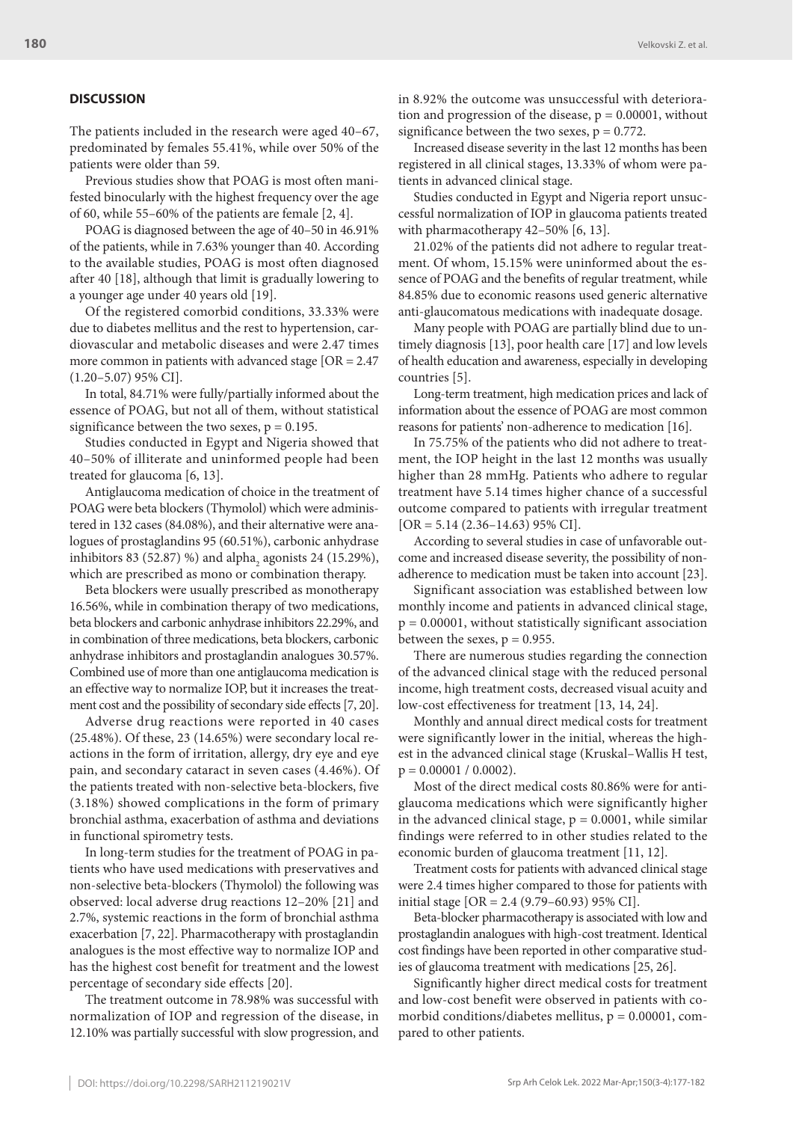### **DISCUSSION**

The patients included in the research were aged 40–67, predominated by females 55.41%, while over 50% of the patients were older than 59.

Previous studies show that POAG is most often manifested binocularly with the highest frequency over the age of 60, while 55–60% of the patients are female [2, 4].

POAG is diagnosed between the age of 40–50 in 46.91% of the patients, while in 7.63% younger than 40. According to the available studies, POAG is most often diagnosed after 40 [18], although that limit is gradually lowering to a younger age under 40 years old [19].

Of the registered comorbid conditions, 33.33% were due to diabetes mellitus and the rest to hypertension, cardiovascular and metabolic diseases and were 2.47 times more common in patients with advanced stage [OR = 2.47 (1.20–5.07) 95% CI].

In total, 84.71% were fully/partially informed about the essence of POAG, but not all of them, without statistical significance between the two sexes,  $p = 0.195$ .

Studies conducted in Egypt and Nigeria showed that 40–50% of illiterate and uninformed people had been treated for glaucoma [6, 13].

Antiglaucoma medication of choice in the treatment of POAG were beta blockers (Thymolol) which were administered in 132 cases (84.08%), and their alternative were analogues of prostaglandins 95 (60.51%), carbonic anhydrase inhibitors 83 (52.87) %) and alpha<sub>2</sub> agonists 24 (15.29%), which are prescribed as mono or combination therapy.

Beta blockers were usually prescribed as monotherapy 16.56%, while in combination therapy of two medications, beta blockers and carbonic anhydrase inhibitors 22.29%, and in combination of three medications, beta blockers, carbonic anhydrase inhibitors and prostaglandin analogues 30.57%. Combined use of more than one antiglaucoma medication is an effective way to normalize IOP, but it increases the treatment cost and the possibility of secondary side effects [7, 20].

Adverse drug reactions were reported in 40 cases (25.48%). Of these, 23 (14.65%) were secondary local reactions in the form of irritation, allergy, dry eye and eye pain, and secondary cataract in seven cases (4.46%). Of the patients treated with non-selective beta-blockers, five (3.18%) showed complications in the form of primary bronchial asthma, exacerbation of asthma and deviations in functional spirometry tests.

In long-term studies for the treatment of POAG in patients who have used medications with preservatives and non-selective beta-blockers (Thymolol) the following was observed: local adverse drug reactions 12–20% [21] and 2.7%, systemic reactions in the form of bronchial asthma exacerbation [7, 22]. Pharmacotherapy with prostaglandin analogues is the most effective way to normalize IOP and has the highest cost benefit for treatment and the lowest percentage of secondary side effects [20].

The treatment outcome in 78.98% was successful with normalization of IOP and regression of the disease, in 12.10% was partially successful with slow progression, and in 8.92% the outcome was unsuccessful with deterioration and progression of the disease,  $p = 0.00001$ , without significance between the two sexes,  $p = 0.772$ .

Increased disease severity in the last 12 months has been registered in all clinical stages, 13.33% of whom were patients in advanced clinical stage.

Studies conducted in Egypt and Nigeria report unsuccessful normalization of IOP in glaucoma patients treated with pharmacotherapy 42–50% [6, 13].

21.02% of the patients did not adhere to regular treatment. Of whom, 15.15% were uninformed about the essence of POAG and the benefits of regular treatment, while 84.85% due to economic reasons used generic alternative anti-glaucomatous medications with inadequate dosage.

Many people with POAG are partially blind due to untimely diagnosis [13], poor health care [17] and low levels of health education and awareness, especially in developing countries [5].

Long-term treatment, high medication prices and lack of information about the essence of POAG are most common reasons for patients' non-adherence to medication [16].

In 75.75% of the patients who did not adhere to treatment, the IOP height in the last 12 months was usually higher than 28 mmHg. Patients who adhere to regular treatment have 5.14 times higher chance of a successful outcome compared to patients with irregular treatment  $[OR = 5.14 (2.36 - 14.63) 95\% CI].$ 

According to several studies in case of unfavorable outcome and increased disease severity, the possibility of nonadherence to medication must be taken into account [23].

Significant association was established between low monthly income and patients in advanced clinical stage,  $p = 0.00001$ , without statistically significant association between the sexes,  $p = 0.955$ .

There are numerous studies regarding the connection of the advanced clinical stage with the reduced personal income, high treatment costs, decreased visual acuity and low-cost effectiveness for treatment [13, 14, 24].

Monthly and annual direct medical costs for treatment were significantly lower in the initial, whereas the highest in the advanced clinical stage (Kruskal–Wallis H test,  $p = 0.00001 / 0.0002$ ).

Most of the direct medical costs 80.86% were for antiglaucoma medications which were significantly higher in the advanced clinical stage,  $p = 0.0001$ , while similar findings were referred to in other studies related to the economic burden of glaucoma treatment [11, 12].

Treatment costs for patients with advanced clinical stage were 2.4 times higher compared to those for patients with initial stage [OR = 2.4 (9.79–60.93) 95% CI].

Beta-blocker pharmacotherapy is associated with low and prostaglandin analogues with high-cost treatment. Identical cost findings have been reported in other comparative studies of glaucoma treatment with medications [25, 26].

Significantly higher direct medical costs for treatment and low-cost benefit were observed in patients with comorbid conditions/diabetes mellitus,  $p = 0.00001$ , compared to other patients.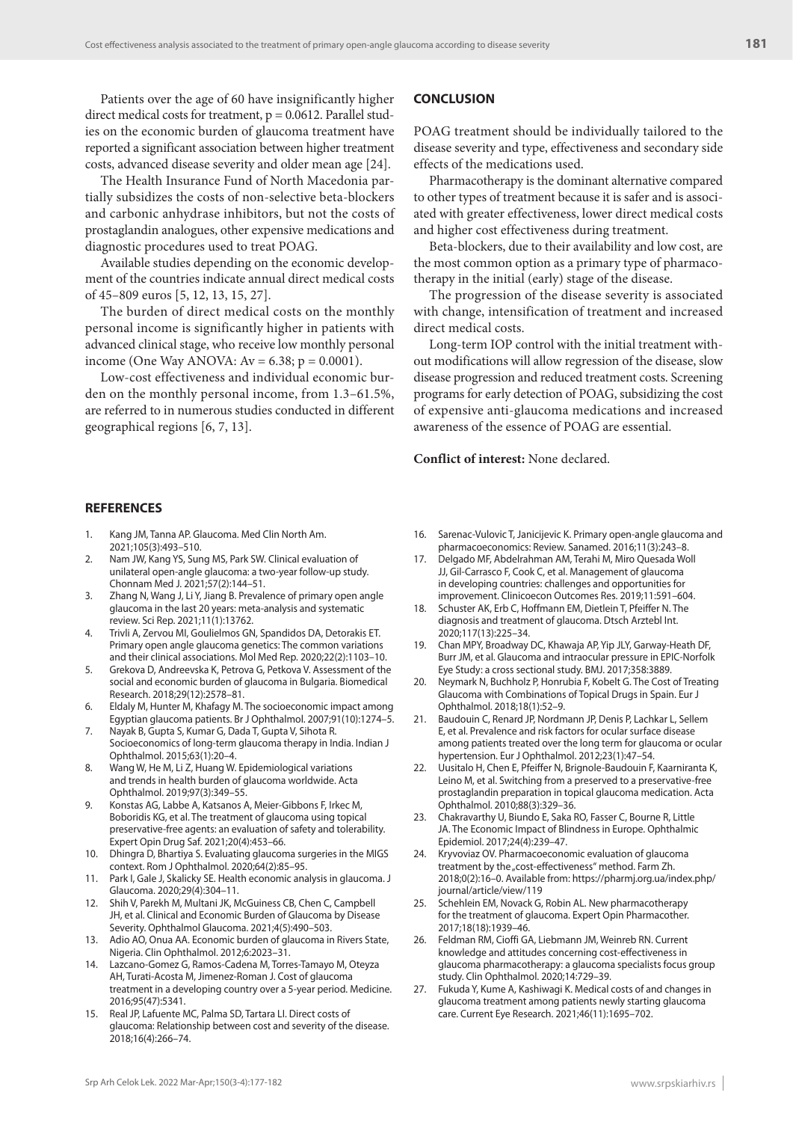Patients over the age of 60 have insignificantly higher direct medical costs for treatment,  $p = 0.0612$ . Parallel studies on the economic burden of glaucoma treatment have reported a significant association between higher treatment costs, advanced disease severity and older mean age [24].

The Health Insurance Fund of North Macedonia partially subsidizes the costs of non-selective beta-blockers and carbonic anhydrase inhibitors, but not the costs of prostaglandin analogues, other expensive medications and diagnostic procedures used to treat POAG.

Available studies depending on the economic development of the countries indicate annual direct medical costs of 45–809 euros [5, 12, 13, 15, 27].

The burden of direct medical costs on the monthly personal income is significantly higher in patients with advanced clinical stage, who receive low monthly personal income (One Way ANOVA:  $Av = 6.38$ ;  $p = 0.0001$ ).

Low-cost effectiveness and individual economic burden on the monthly personal income, from 1.3–61.5%, are referred to in numerous studies conducted in different geographical regions [6, 7, 13].

# **CONCLUSION**

POAG treatment should be individually tailored to the disease severity and type, effectiveness and secondary side effects of the medications used.

Pharmacotherapy is the dominant alternative compared to other types of treatment because it is safer and is associated with greater effectiveness, lower direct medical costs and higher cost effectiveness during treatment.

Beta-blockers, due to their availability and low cost, are the most common option as a primary type of pharmacotherapy in the initial (early) stage of the disease.

The progression of the disease severity is associated with change, intensification of treatment and increased direct medical costs.

Long-term IOP control with the initial treatment without modifications will allow regression of the disease, slow disease progression and reduced treatment costs. Screening programs for early detection of POAG, subsidizing the cost of expensive anti-glaucoma medications and increased awareness of the essence of POAG are essential.

### **Conflict of interest:** None declared.

#### **REFERENCES**

- Kang JM, Tanna AP. Glaucoma. Med Clin North Am. 2021;105(3):493–510.
- 2. Nam JW, Kang YS, Sung MS, Park SW. Clinical evaluation of unilateral open-angle glaucoma: a two-year follow-up study. Chonnam Med J. 2021;57(2):144–51.
- 3. Zhang N, Wang J, Li Y, Jiang B. Prevalence of primary open angle glaucoma in the last 20 years: meta-analysis and systematic review. Sci Rep. 2021;11(1):13762.
- 4. Trivli A, Zervou MI, Goulielmos GN, Spandidos DA, Detorakis ET. Primary open angle glaucoma genetics: The common variations and their clinical associations. Mol Med Rep. 2020;22(2):1103–10.
- 5. Grekova D, Andreevska K, Petrova G, Petkova V. Assessment of the social and economic burden of glaucoma in Bulgaria. Biomedical Research. 2018;29(12):2578–81.
- 6. Eldaly M, Hunter M, Khafagy M. The socioeconomic impact among Egyptian glaucoma patients. Br J Ophthalmol. 2007;91(10):1274–5.
- 7. Nayak B, Gupta S, Kumar G, Dada T, Gupta V, Sihota R. Socioeconomics of long-term glaucoma therapy in India. Indian J Ophthalmol. 2015;63(1):20–4.
- 8. Wang W, He M, Li Z, Huang W. Epidemiological variations and trends in health burden of glaucoma worldwide. Acta Ophthalmol. 2019;97(3):349–55.
- 9. Konstas AG, Labbe A, Katsanos A, Meier-Gibbons F, Irkec M, Boboridis KG, et al. The treatment of glaucoma using topical preservative-free agents: an evaluation of safety and tolerability. Expert Opin Drug Saf. 2021;20(4):453–66.
- 10. Dhingra D, Bhartiya S. Evaluating glaucoma surgeries in the MIGS context. Rom J Ophthalmol. 2020;64(2):85–95.
- 11. Park I, Gale J, Skalicky SE. Health economic analysis in glaucoma. J Glaucoma. 2020;29(4):304–11.
- 12. Shih V, Parekh M, Multani JK, McGuiness CB, Chen C, Campbell JH, et al. Clinical and Economic Burden of Glaucoma by Disease Severity. Ophthalmol Glaucoma. 2021;4(5):490–503.
- 13. Adio AO, Onua AA. Economic burden of glaucoma in Rivers State, Nigeria. Clin Ophthalmol. 2012;6:2023–31.
- 14. Lazcano-Gomez G, Ramos-Cadena M, Torres-Tamayo M, Oteyza AH, Turati-Acosta M, Jimenez-Roman J. Cost of glaucoma treatment in a developing country over a 5-year period. Medicine. 2016;95(47):5341.
- 15. Real JP, Lafuente MC, Palma SD, Tartara LI. Direct costs of glaucoma: Relationship between cost and severity of the disease. 2018;16(4):266–74.
- 16. Sarenac-Vulovic T, Janicijevic K. Primary open-angle glaucoma and pharmacoeconomics: Review. Sanamed. 2016;11(3):243–8.
- 17. Delgado MF, Abdelrahman AM, Terahi M, Miro Quesada Woll JJ, Gil-Carrasco F, Cook C, et al. Management of glaucoma in developing countries: challenges and opportunities for improvement. Clinicoecon Outcomes Res. 2019;11:591–604.
- 18. Schuster AK, Erb C, Hoffmann EM, Dietlein T, Pfeiffer N. The diagnosis and treatment of glaucoma. Dtsch Arztebl Int. 2020;117(13):225–34.
- 19. Chan MPY, Broadway DC, Khawaja AP, Yip JLY, Garway-Heath DF, Burr JM, et al. Glaucoma and intraocular pressure in EPIC-Norfolk Eye Study: a cross sectional study. BMJ. 2017;358:3889.
- 20. Neymark N, Buchholz P, Honrubia F, Kobelt G. The Cost of Treating Glaucoma with Combinations of Topical Drugs in Spain. Eur J Ophthalmol. 2018;18(1):52–9.
- 21. Baudouin C, Renard JP, Nordmann JP, Denis P, Lachkar L, Sellem E, et al. Prevalence and risk factors for ocular surface disease among patients treated over the long term for glaucoma or ocular hypertension. Eur J Ophthalmol. 2012;23(1):47–54.
- 22. Uusitalo H, Chen E, Pfeiffer N, Brignole-Baudouin F, Kaarniranta K, Leino M, et al. Switching from a preserved to a preservative-free prostaglandin preparation in topical glaucoma medication. Acta Ophthalmol. 2010;88(3):329–36.
- 23. Chakravarthy U, Biundo E, Saka RO, Fasser C, Bourne R, Little JA. The Economic Impact of Blindness in Europe. Ophthalmic Epidemiol. 2017;24(4):239–47.
- 24. Kryvoviaz OV. Pharmacoeconomic evaluation of glaucoma treatment by the "cost-effectiveness" method. Farm Zh. 2018;0(2):16–0. Available from: https://pharmj.org.ua/index.php/ journal/article/view/119
- 25. Schehlein EM, Novack G, Robin AL. New pharmacotherapy for the treatment of glaucoma. Expert Opin Pharmacother. 2017;18(18):1939–46.
- 26. Feldman RM, Cioffi GA, Liebmann JM, Weinreb RN. Current knowledge and attitudes concerning cost-effectiveness in glaucoma pharmacotherapy: a glaucoma specialists focus group study. Clin Ophthalmol. 2020;14:729–39.
- 27. Fukuda Y, Kume A, Kashiwagi K. Medical costs of and changes in glaucoma treatment among patients newly starting glaucoma care. Current Eye Research. 2021;46(11):1695–702.